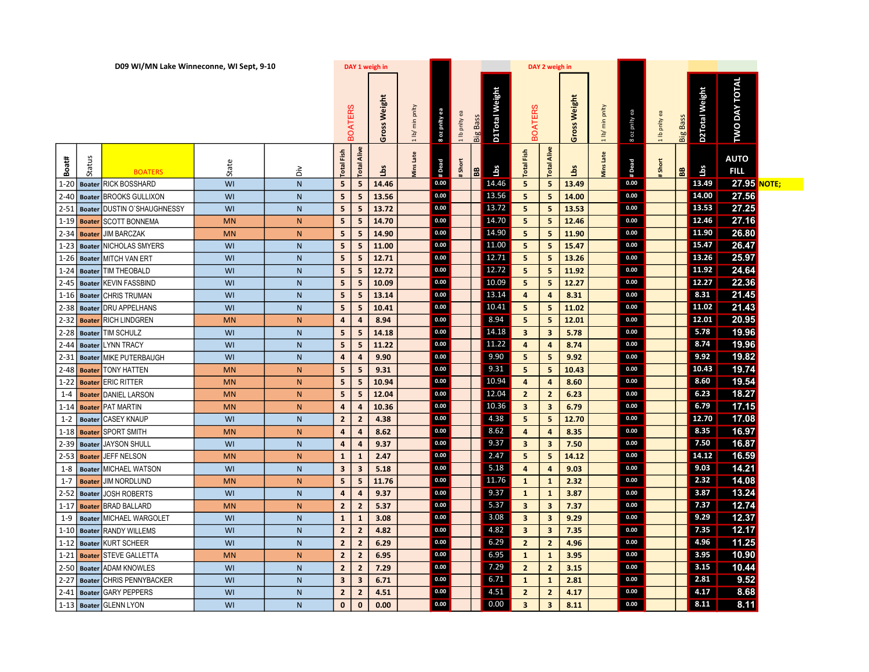|            |               | D09 WI/MN Lake Winneconne, WI Sept, 9-10 |           |                |                         | DAY 1 weigh in          |              |                 |                   |               |          |                |                                | DAY 2 weigh in          |                 |                 |               |               |                |                |                      |              |
|------------|---------------|------------------------------------------|-----------|----------------|-------------------------|-------------------------|--------------|-----------------|-------------------|---------------|----------|----------------|--------------------------------|-------------------------|-----------------|-----------------|---------------|---------------|----------------|----------------|----------------------|--------------|
|            |               |                                          |           |                | <b>OATERS</b>           |                         | Gross Weight | 1 lb/ min pnlty | 8 oz pnity        | 1 lb pnlty ea | Big Bass | D1Total Weight | <b>BOATERS</b>                 |                         | Weight<br>Gross | 1 lb/ min pnlty | 8 oz pnlty ea | 1 lb pnlty ea | Big Bass       | D2Total Weight | <b>TWO DAY TOTAL</b> |              |
| Boat#      | 3n:           | <b>BOATERS</b>                           | State     | òί             | Fish<br>Total           | Alive<br><b>Total</b>   | å            | Late<br>Ains    | $\frac{1}{4}$ Dea | Short         | 88       | ЗqП            | $\mathsf{Fis}$<br><b>Total</b> | Alive<br><b>Total</b>   | ਕ੍ਰੋ            | Late<br>dins    | # Dead        | Short         | $\frac{1}{26}$ | ئ<br>Sq        | <b>AUTO</b><br>FILL  |              |
|            |               | 1-20 Boater RICK BOSSHARD                | WI        | N              | $5\phantom{.0}$         | 5                       | 14.46        |                 | 0.00              |               |          | 14.46          | 5                              | 5 <sub>1</sub>          | 13.49           |                 | 0.00          |               |                | 13.49          | 27.95                | <b>NOTE;</b> |
|            |               | 2-40 Boater BROOKS GULLIXON              | WI        | ${\sf N}$      | 5                       | 5                       | 13.56        |                 | 0.00              |               |          | 13.56          | 5 <sub>1</sub>                 | 5                       | 14.00           |                 | 0.00          |               |                | 14.00          | 27.56                |              |
|            | $2-51$ Boater | DUSTIN O`SHAUGHNESSY                     | WI        | N              | 5 <sup>1</sup>          | 5                       | 13.72        |                 | 0.00              |               |          | 13.72          | 5 <sup>1</sup>                 | 5 <sup>1</sup>          | 13.53           |                 | 0.00          |               |                | 13.53          | 27.25                |              |
| $1 - 19$   | <b>Boater</b> | <b>SCOTT BONNEMA</b>                     | <b>MN</b> | N              | 5                       | 5                       | 14.70        |                 | 0.00              |               |          | 14.70          | 5 <sup>5</sup>                 | 5                       | 12.46           |                 | 0.00          |               |                | 12.46          | 27.16                |              |
| $2 - 34$   | <b>Boater</b> | JIM BARCZAK                              | <b>MN</b> | N              | $5\phantom{.0}$         | 5                       | 14.90        |                 | 0.00              |               |          | 14.90          | 5 <sup>5</sup>                 | 5                       | 11.90           |                 | 0.00          |               |                | 11.90          | 26.80                |              |
|            | $1-23$ Boater | NICHOLAS SMYERS                          | WI        | $\mathsf{N}$   | 5                       | 5                       | 11.00        |                 | 0.00              |               |          | 11.00          | 5 <sub>1</sub>                 | 5 <sup>1</sup>          | 15.47           |                 | 0.00          |               |                | 15.47          | 26.47                |              |
|            |               | 1-26   Boater MITCH VAN ERT              | WI        | $\mathsf{N}$   | 5                       | 5                       | 12.71        |                 | 0.00              |               |          | 12.71          | 5 <sub>1</sub>                 | 5                       | 13.26           |                 | 0.00          |               |                | 13.26          | 25.97                |              |
| $1 - 24$   |               | Boater TIM THEOBALD                      | WI        | ${\sf N}$      | 5                       | 5                       | 12.72        |                 | 0.00              |               |          | 12.72          | 5 <sub>1</sub>                 | 5                       | 11.92           |                 | 0.00          |               |                | 11.92          | 24.64                |              |
|            | $2-45$ Boater | <b>KEVIN FASSBIND</b>                    | WI        | $\mathsf{N}$   | $5\phantom{.0}$         | 5                       | 10.09        |                 | 0.00              |               |          | 10.09          | 5 <sup>5</sup>                 | 5                       | 12.27           |                 | 0.00          |               |                | 12.27          | 22.36                |              |
|            | $1-16$ Boater | <b>CHRIS TRUMAN</b>                      | WI        | $\mathsf{N}$   | 5                       | 5                       | 13.14        |                 | 0.00              |               |          | 13.14          | $\overline{4}$                 | $\overline{a}$          | 8.31            |                 | 0.00          |               |                | 8.31           | 21.45                |              |
|            |               | 2-38 Boater DRU APPELHANS                | WI        | $\mathsf{N}$   | 5                       | 5                       | 10.41        |                 | 0.00              |               |          | 10.41          | 5 <sup>1</sup>                 | 5                       | 11.02           |                 | 0.00          |               |                | 11.02          | 21.43                |              |
| $2 - 32$   | <b>Boater</b> | <b>RICH LINDGREN</b>                     | <b>MN</b> | N              | 4                       | 4                       | 8.94         |                 | 0.00              |               |          | 8.94           | 5 <sup>1</sup>                 | 5                       | 12.01           |                 | 0.00          |               |                | 12.01          | 20.95                |              |
|            | $2-28$ Boater | <b>TIM SCHULZ</b>                        | WI        | $\mathsf{N}$   | $5\phantom{.0}$         | 5                       | 14.18        |                 | 0.00              |               |          | 14.18          | $\overline{\mathbf{3}}$        | $\mathbf{3}$            | 5.78            |                 | 0.00          |               |                | 5.78           | 19.96                |              |
|            |               | 2-44 Boater LYNN TRACY                   | WI        | $\overline{N}$ | 5                       | 5                       | 11.22        |                 | 0.00              |               |          | 11.22          | $\overline{4}$                 | $\overline{4}$          | 8.74            |                 | 0.00          |               |                | 8.74           | 19.96                |              |
|            |               | 2-31   Boater MIKE PUTERBAUGH            | WI        | $\mathsf{N}$   | $\overline{4}$          | 4                       | 9.90         |                 | 0.00              |               |          | 9.90           | 5 <sup>1</sup>                 | 5 <sup>2</sup>          | 9.92            |                 | 0.00          |               |                | 9.92           | 19.82                |              |
|            | $2-48$ Boater | TONY HATTEN                              | <b>MN</b> | N              | 5                       | 5                       | 9.31         |                 | 0.00              |               |          | 9.31           | 5 <sub>1</sub>                 | 5                       | 10.43           |                 | 0.00          |               |                | 10.43          | 19.74                |              |
| $1-22$     |               | <b>Boater ERIC RITTER</b>                | <b>MN</b> | N              | 5                       | 5                       | 10.94        |                 | 0.00              |               |          | 10.94          | 4                              | $\overline{4}$          | 8.60            |                 | 0.00          |               |                | 8.60           | 19.54                |              |
| $1 - 4$    | <b>Boater</b> | <b>DANIEL LARSON</b>                     | <b>MN</b> | N              | $5\phantom{.0}$         | 5                       | 12.04        |                 | 0.00              |               |          | 12.04          | $\overline{2}$                 | $\overline{2}$          | 6.23            |                 | 0.00          |               |                | 6.23           | 18.27                |              |
| $1 - 14$   | <b>Boater</b> | <b>PAT MARTIN</b>                        | <b>MN</b> | $\mathsf{N}$   | $\overline{4}$          | $\overline{4}$          | 10.36        |                 | 0.00              |               |          | 10.36          | $\overline{\mathbf{3}}$        | $\overline{\mathbf{3}}$ | 6.79            |                 | 0.00          |               |                | 6.79           | 17.15                |              |
| $1 - 2$    | <b>Boater</b> | <b>CASEY KNAUP</b>                       | WI        | $\mathsf{N}$   | $\overline{2}$          | $\mathbf{2}$            | 4.38         |                 | 0.00              |               |          | 4.38           | 5 <sup>1</sup>                 | 5                       | 12.70           |                 | 0.00          |               |                | 12.70          | 17.08                |              |
| $ 1 - 18 $ | <b>Boater</b> | <b>SPORT SMITH</b>                       | <b>MN</b> | N              | 4                       | 4                       | 8.62         |                 | 0.00              |               |          | 8.62           | $\overline{4}$                 | $\overline{a}$          | 8.35            |                 | 0.00          |               |                | 8.35           | 16.97                |              |
|            | $2-39$ Boater | <b>JAYSON SHULL</b>                      | WI        | $\mathsf{N}$   | $\overline{4}$          | $\overline{4}$          | 9.37         |                 | 0.00              |               |          | 9.37           | 3 <sup>2</sup>                 | $\overline{\mathbf{3}}$ | 7.50            |                 | 0.00          |               |                | 7.50           | 16.87                |              |
| $2 - 53$   | <b>Boater</b> | <b>JEFF NELSON</b>                       | <b>MN</b> | N              | $\mathbf{1}$            | 1                       | 2.47         |                 | 0.00              |               |          | 2.47           | 5 <sup>1</sup>                 | 5                       | 14.12           |                 | 0.00          |               |                | 14.12          | 16.59                |              |
| $1 - 8$    |               | <b>Boater MICHAEL WATSON</b>             | WI        | $\mathsf{N}$   | $\overline{\mathbf{3}}$ | $\overline{\mathbf{3}}$ | 5.18         |                 | 0.00              |               |          | 5.18           | $\overline{4}$                 | $\overline{4}$          | 9.03            |                 | 0.00          |               |                | 9.03           | 14.21                |              |
| $1 - 7$    | <b>Boater</b> | <b>JIM NORDLUND</b>                      | <b>MN</b> | N              | $\overline{\mathbf{5}}$ | 5                       | 11.76        |                 | 0.00              |               |          | 11.76          | $\mathbf{1}$                   | $\mathbf{1}$            | 2.32            |                 | 0.00          |               |                | 2.32           | 14.08                |              |
|            | $2-52$ Boater | <b>JOSH ROBERTS</b>                      | WI        | $\mathsf{N}$   | $\overline{a}$          | $\overline{4}$          | 9.37         |                 | 0.00              |               |          | 9.37           | $\mathbf{1}$                   | $\mathbf{1}$            | 3.87            |                 | 0.00          |               |                | 3.87           | 13.24                |              |
| $1 - 17$   |               | <b>Boater BRAD BALLARD</b>               | <b>MN</b> | N              | $\mathbf{2}$            | $\mathbf{2}$            | 5.37         |                 | 0.00              |               |          | 5.37           | $\mathbf{3}$                   | $\overline{\mathbf{3}}$ | 7.37            |                 | 0.00          |               |                | 7.37           | 12.74                |              |
| $1 - 9$    | Boater        | MICHAEL WARGOLET                         | WI        | $\mathsf{N}$   | $\mathbf{1}$            | $\mathbf{1}$            | 3.08         |                 | 0.00              |               |          | 3.08           | 3 <sup>2</sup>                 | $\overline{\mathbf{3}}$ | 9.29            |                 | 0.00          |               |                | 9.29           | 12.37                |              |
|            |               | 1-10 Boater RANDY WILLEMS                | WI        | N              | $\overline{\mathbf{2}}$ | $\overline{2}$          | 4.82         |                 | 0.00              |               |          | 4.82           | $\overline{\mathbf{3}}$        | $\mathbf{3}$            | 7.35            |                 | 0.00          |               |                | 7.35           | 12.17                |              |
| $1 - 12$   |               | Boater KURT SCHEER                       | WI        | $\mathsf{N}$   | $\overline{2}$          | $\overline{2}$          | 6.29         |                 | 0.00              |               |          | 6.29           | $\mathbf{2}$                   | $\overline{2}$          | 4.96            |                 | 0.00          |               |                | 4.96           | 11.25                |              |
| $1 - 21$   | <b>Boater</b> | <b>STEVE GALLETTA</b>                    | <b>MN</b> | N              | $\overline{2}$          | $\overline{2}$          | 6.95         |                 | 0.00              |               |          | 6.95           | $\mathbf{1}$                   | $\mathbf{1}$            | 3.95            |                 | 0.00          |               |                | 3.95           | 10.90                |              |
|            |               | 2-50 Boater ADAM KNOWLES                 | WI        | N              | $\overline{2}$          | $\overline{2}$          | 7.29         |                 | 0.00              |               |          | 7.29           | $\overline{2}$                 | $\overline{2}$          | 3.15            |                 | 0.00          |               |                | 3.15           | 10.44                |              |
| $2 - 27$   |               | <b>Boater CHRIS PENNYBACKER</b>          | WI        | $\mathsf{N}$   | $\overline{\mathbf{3}}$ | $\overline{\mathbf{3}}$ | 6.71         |                 | 0.00              |               |          | 6.71           | $\mathbf{1}$                   | $\mathbf{1}$            | 2.81            |                 | 0.00          |               |                | 2.81           | 9.52                 |              |
|            | $2-41$ Boater | <b>GARY PEPPERS</b>                      | WI        | $\mathsf{N}$   | $\overline{2}$          | $\overline{2}$          | 4.51         |                 | 0.00              |               |          | 4.51           | $\overline{2}$                 | $\overline{2}$          | 4.17            |                 | 0.00          |               |                | 4.17           | 8.68                 |              |
|            |               | 1-13 Boater GLENN LYON                   | WI        | $\mathsf{N}$   | $\mathbf{0}$            | $\bf{0}$                | 0.00         |                 | 0.00              |               |          | 0.00           | $\overline{\mathbf{3}}$        | $\overline{\mathbf{3}}$ | 8.11            |                 | 0.00          |               |                | 8.11           | 8.11                 |              |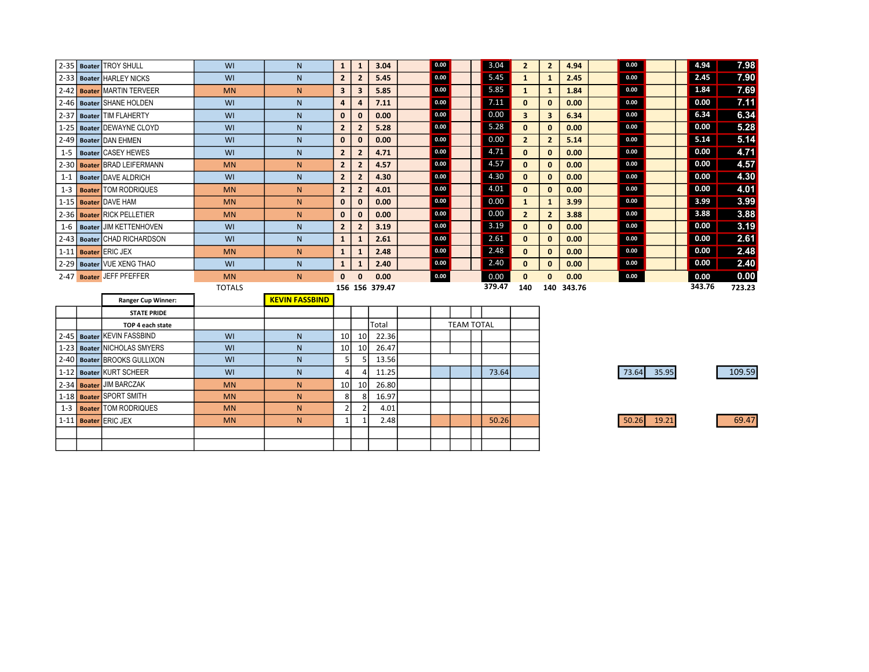| $2 - 35$ | <b>Boater TROY SHULL</b>      | WI            | N            | $\mathbf{1}$            | 1              | 3.04           | 0.00 |  | 3.04   | $\overline{2}$ | $\overline{2}$ | 4.94   | 0.00 | 4.94   | 7.98   |
|----------|-------------------------------|---------------|--------------|-------------------------|----------------|----------------|------|--|--------|----------------|----------------|--------|------|--------|--------|
| $2 - 33$ | <b>Boater HARLEY NICKS</b>    | WI            | N            | $\overline{2}$          | $\overline{2}$ | 5.45           | 0.00 |  | 5.45   | 1              |                | 2.45   | 0.00 | 2.45   | 7.90   |
| $2 - 42$ | <b>Boater MARTIN TERVEER</b>  | <b>MN</b>     | N            | $\overline{\mathbf{3}}$ | 3              | 5.85           | 0.00 |  | 5.85   | 1              |                | 1.84   | 0.00 | 1.84   | 7.69   |
|          | 2-46 Boater SHANE HOLDEN      | WI            | N            | 4                       | 4              | 7.11           | 0.00 |  | 7.11   | $\mathbf{0}$   | $\bf{0}$       | 0.00   | 0.00 | 0.00   | 7.11   |
| $2 - 37$ | <b>Boater TIM FLAHERTY</b>    | WI            | $\mathsf{N}$ | $\mathbf{0}$            | $\mathbf{0}$   | 0.00           | 0.00 |  | 0.00   | 3 <sup>1</sup> | 3              | 6.34   | 0.00 | 6.34   | 6.34   |
| $1 - 25$ | Boater DEWAYNE CLOYD          | WI            | N            | $\overline{2}$          | $\overline{2}$ | 5.28           | 0.00 |  | 5.28   | $\mathbf{0}$   | $\bf{0}$       | 0.00   | 0.00 | 0.00   | 5.28   |
| $2 - 49$ | <b>Boater DAN EHMEN</b>       | WI            | $\mathsf{N}$ | $\mathbf{0}$            | $\bf{0}$       | 0.00           | 0.00 |  | 0.00   | $\mathbf{2}$   |                | 5.14   | 0.00 | 5.14   | 5.14   |
| $1 - 5$  | <b>Boater CASEY HEWES</b>     | WI            | N            | $\overline{2}$          | $\overline{2}$ | 4.71           | 0.00 |  | 4.71   | $\mathbf{0}$   | $\bf{0}$       | 0.00   | 0.00 | 0.00   | 4.71   |
| $2 - 30$ | <b>Boater BRAD LEIFERMANN</b> | <b>MN</b>     | N.           | $\overline{2}$          | $\overline{2}$ | 4.57           | 0.00 |  | 4.57   | $\mathbf{0}$   | $\bf{0}$       | 0.00   | 0.00 | 0.00   | 4.57   |
| $1 - 1$  | Boater DAVE ALDRICH           | WI            | N.           | $\overline{2}$          | $\overline{2}$ | 4.30           | 0.00 |  | 4.30   | $\mathbf{0}$   | $\bf{0}$       | 0.00   | 0.00 | 0.00   | 4.30   |
| $1 - 3$  | <b>Boater TOM RODRIQUES</b>   | <b>MN</b>     | N.           | $\overline{2}$          | $\overline{2}$ | 4.01           | 0.00 |  | 4.01   | $\mathbf{0}$   | $\bf{0}$       | 0.00   | 0.00 | 0.00   | 4.01   |
|          | 1-15 Boater DAVE HAM          | <b>MN</b>     | N.           | $\mathbf{0}$            | 0              | 0.00           | 0.00 |  | 0.00   | 1              |                | 3.99   | 0.00 | 3.99   | 3.99   |
|          | 2-36 Boater RICK PELLETIER    | <b>MN</b>     | N.           | $\mathbf{0}$            | $\bf{0}$       | 0.00           | 0.00 |  | 0.00   | $\overline{2}$ |                | 3.88   | 0.00 | 3.88   | 3.88   |
| $1 - 6$  | <b>Boater JIM KETTENHOVEN</b> | WI            | N            | $\overline{2}$          | $\mathbf{2}$   | 3.19           | 0.00 |  | 3.19   | $\mathbf{0}$   | 0              | 0.00   | 0.00 | 0.00   | 3.19   |
|          | 2-43   Boater CHAD RICHARDSON | WI            | N.           | 1                       |                | 2.61           | 0.00 |  | 2.61   | $\mathbf{0}$   | 0              | 0.00   | 0.00 | 0.00   | 2.61   |
|          | 1-11 Boater ERIC JEX          | <b>MN</b>     | N.           | 1                       |                | 2.48           | 0.00 |  | 2.48   | $\mathbf{0}$   | 0              | 0.00   | 0.00 | 0.00   | 2.48   |
|          | 2-29 Boater VUE XENG THAO     | WI            | N.           | 1                       |                | 2.40           | 0.00 |  | 2.40   | $\mathbf{0}$   | $\mathbf{0}$   | 0.00   | 0.00 | 0.00   | 2.40   |
|          | 2-47 Boater JEFF PFEFFER      | <b>MN</b>     | N.           | $\bf{0}$                | $\bf{0}$       | 0.00           | 0.00 |  | 0.00   | $\bf{0}$       | $\bf{0}$       | 0.00   | 0.00 | 0.00   | 0.00   |
|          |                               | <b>TOTALS</b> |              |                         |                | 156 156 379.47 |      |  | 379.47 | 140            | 140            | 343.76 |      | 343.76 | 723.23 |

|  | <b>Ranger Cup Winner:</b>   |           | <b>KEVIN FASSBIND</b> |                 |                 |       |  |                   |       |  |
|--|-----------------------------|-----------|-----------------------|-----------------|-----------------|-------|--|-------------------|-------|--|
|  | <b>STATE PRIDE</b>          |           |                       |                 |                 |       |  |                   |       |  |
|  | TOP 4 each state            |           |                       |                 |                 | Total |  | <b>TEAM TOTAL</b> |       |  |
|  | 2-45 Boater KEVIN FASSBIND  | WI        | N                     | 10 <sup>1</sup> | 10 <sup>1</sup> | 22.36 |  |                   |       |  |
|  | 1-23 Boater NICHOLAS SMYERS | WI        | N                     | 10 <sup>1</sup> | 10 <sup>1</sup> | 26.47 |  |                   |       |  |
|  | 2-40 Boater BROOKS GULLIXON | WI        | N                     |                 |                 | 13.56 |  |                   |       |  |
|  | 1-12 Boater KURT SCHEER     | WI        | N                     |                 |                 | 11.25 |  |                   | 73.64 |  |
|  | 2-34 Boater JIM BARCZAK     | <b>MN</b> | N                     | 10              | 10 l            | 26.80 |  |                   |       |  |
|  | 1-18 Boater SPORT SMITH     | <b>MN</b> | N.                    | -81             | 8               | 16.97 |  |                   |       |  |
|  | 1-3   Boater TOM RODRIQUES  | <b>MN</b> | N.                    | ◠               | $\mathcal{D}$   | 4.01  |  |                   |       |  |
|  | 1-11 Boater ERIC JEX        | <b>MN</b> | N                     |                 |                 | 2.48  |  |                   | 50.26 |  |
|  |                             |           |                       |                 |                 |       |  |                   |       |  |
|  |                             |           |                       |                 |                 |       |  |                   |       |  |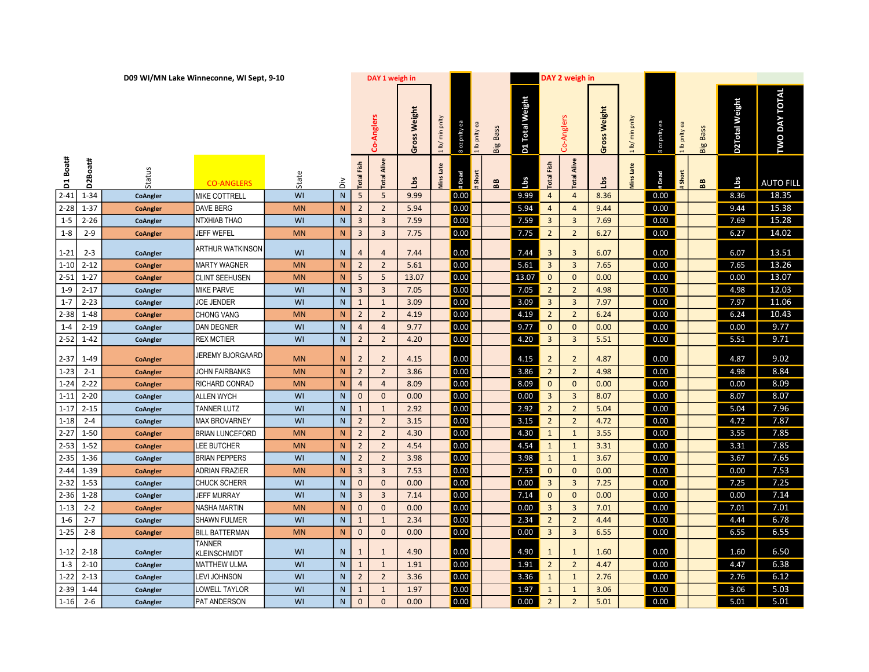|             |             |                 | D09 WI/MN Lake Winneconne, WI Sept, 9-10 |           |                |                   | DAY 1 weigh in        |              |                                  |                             |                 |                 |                         | DAY 2 weigh in     |                     |                  |               |               |                 |                |                      |  |
|-------------|-------------|-----------------|------------------------------------------|-----------|----------------|-------------------|-----------------------|--------------|----------------------------------|-----------------------------|-----------------|-----------------|-------------------------|--------------------|---------------------|------------------|---------------|---------------|-----------------|----------------|----------------------|--|
|             |             |                 |                                          |           |                |                   | Co-Anglers            | Gross Weight | $\overline{\text{min}}$<br>1 lb/ | 8 oz pnity ea<br>1 lb pnlty | <b>Big Bass</b> | D1 Total Weight |                         | Co-Anglers         | <b>Gross Weight</b> | 1 lb/ min pnlty  | 8 oz pnity ea | 1 lb pnlty ea | <b>Big Bass</b> | D2Total Weight | <b>TWO DAY TOTAL</b> |  |
| Boat#<br>Ξ  | :Boat#<br>2 | Status          | <b>CO-ANGLERS</b>                        | State     | $\grave{\Xi}$  | <b>Total Fish</b> | Alive<br><b>I</b> eto | ιьs          | Late<br><b>Ains</b>              | # Dead<br>Short             | æ               | Lbs             | <b>Total Fish</b>       | <b>Total Alive</b> | å                   | <b>Ains Late</b> | #Dead         | Short         | æ               | Lbs            | <b>AUTO FILL</b>     |  |
| $2 - 41$    | $1 - 34$    | CoAngler        | MIKE COTTRELL                            | WI        | ${\sf N}$      | 5                 | 5                     | 9.99         |                                  | 0.00                        |                 | 9.99            | $\overline{4}$          | $\overline{4}$     | 8.36                |                  | 0.00          |               |                 | 8.36           | 18.35                |  |
| $2 - 28$    | 1-37        | <b>CoAngler</b> | <b>DAVE BERG</b>                         | <b>MN</b> | N              | $\overline{2}$    | $\overline{2}$        | 5.94         |                                  | 0.00                        |                 | 5.94            | $\overline{4}$          | $\overline{4}$     | 9.44                |                  | 0.00          |               |                 | 9.44           | 15.38                |  |
| $1 - 5$     | $2 - 26$    | CoAngler        | NTXHIAB THAO                             | WI        | N              | $\overline{3}$    | $\overline{3}$        | 7.59         |                                  | 0.00                        |                 | 7.59            | $\overline{3}$          | $\overline{3}$     | 7.69                |                  | 0.00          |               |                 | 7.69           | 15.28                |  |
| $1 - 8$     | $2 - 9$     | <b>CoAngler</b> | <b>JEFF WEFEL</b>                        | <b>MN</b> | ${\sf N}$      | $\overline{3}$    | $\overline{3}$        | 7.75         |                                  | 0.00                        |                 | 7.75            | $\overline{2}$          | $\overline{2}$     | 6.27                |                  | 0.00          |               |                 | 6.27           | 14.02                |  |
| $1 - 21$    | $2 - 3$     | CoAngler        | <b>ARTHUR WATKINSON</b>                  | WI        | N              | $\overline{4}$    | $\overline{4}$        | 7.44         |                                  | 0.00                        |                 | 7.44            | 3                       | $\overline{3}$     | 6.07                |                  | 0.00          |               |                 | 6.07           | 13.51                |  |
| $1 - 10$    | $2 - 12$    | <b>CoAngler</b> | <b>MARTY WAGNER</b>                      | <b>MN</b> | N              | $\overline{2}$    | $\overline{2}$        | 5.61         |                                  | 0.00                        |                 | 5.61            | $\overline{\mathbf{3}}$ | $\overline{3}$     | 7.65                |                  | 0.00          |               |                 | 7.65           | 13.26                |  |
| $2 - 51$    | $1 - 27$    | <b>CoAngler</b> | CLINT SEEHUSEN                           | <b>MN</b> | $\overline{N}$ | 5                 | 5                     | 13.07        |                                  | 0.00                        |                 | 13.07           | $\mathbf{0}$            | $\mathbf{0}$       | 0.00                |                  | 0.00          |               |                 | 0.00           | 13.07                |  |
| $1 - 9$     | $2 - 17$    | CoAngler        | <b>MIKE PARVE</b>                        | WI        | ${\sf N}$      | $\overline{3}$    | 3                     | 7.05         |                                  | 0.00                        |                 | 7.05            | $\overline{2}$          | $\overline{2}$     | 4.98                |                  | 0.00          |               |                 | 4.98           | 12.03                |  |
| $1 - 7$     | $2 - 23$    | CoAngler        | <b>JOE JENDER</b>                        | WI        | $\mathsf{N}$   | $\mathbf{1}$      | $\mathbf{1}$          | 3.09         |                                  | 0.00                        |                 | 3.09            | $\overline{3}$          | $\overline{3}$     | 7.97                |                  | 0.00          |               |                 | 7.97           | 11.06                |  |
| $2 - 38$    | $1 - 48$    | <b>CoAngler</b> | CHONG VANG                               | <b>MN</b> | N.             | $\overline{2}$    | $\overline{2}$        | 4.19         |                                  | 0.00                        |                 | 4.19            | $\overline{2}$          | $\overline{2}$     | 6.24                |                  | 0.00          |               |                 | 6.24           | 10.43                |  |
| $1 - 4$     | $2 - 19$    | CoAngler        | <b>DAN DEGNER</b>                        | WI        | N              | $\overline{4}$    | $\overline{4}$        | 9.77         |                                  | 0.00                        |                 | 9.77            | $\mathbf 0$             | $\mathbf{0}$       | 0.00                |                  | 0.00          |               |                 | 0.00           | 9.77                 |  |
| $2 - 52$    | $1 - 42$    | CoAngler        | <b>REX MCTIER</b>                        | WI        | N              | $\overline{2}$    | $\overline{2}$        | 4.20         |                                  | 0.00                        |                 | 4.20            | $\overline{3}$          | $\overline{3}$     | 5.51                |                  | 0.00          |               |                 | 5.51           | 9.71                 |  |
| $2 - 37$    | $1 - 49$    | <b>CoAngler</b> | JEREMY BJORGAARD                         | <b>MN</b> | N.             | $\overline{2}$    | 2                     | 4.15         |                                  | 0.00                        |                 | 4.15            | $\overline{2}$          | $\overline{2}$     | 4.87                |                  | 0.00          |               |                 | 4.87           | 9.02                 |  |
| $1 - 23$    | $2 - 1$     | CoAngler        | JOHN FAIRBANKS                           | <b>MN</b> | N              | $\overline{2}$    | $\overline{2}$        | 3.86         |                                  | 0.00                        |                 | 3.86            | $\overline{2}$          | $\overline{2}$     | 4.98                |                  | 0.00          |               |                 | 4.98           | 8.84                 |  |
| $1 - 24$    | $2 - 22$    | <b>CoAngler</b> | RICHARD CONRAD                           | <b>MN</b> | N              | $\overline{4}$    | $\overline{4}$        | 8.09         |                                  | 0.00                        |                 | 8.09            | $\mathbf{0}$            | $\mathbf{0}$       | 0.00                |                  | 0.00          |               |                 | 0.00           | 8.09                 |  |
| $1 - 11$    | $2 - 20$    | CoAngler        | ALLEN WYCH                               | WI        | N              | $\mathbf{0}$      | $\mathbf{0}$          | 0.00         |                                  | 0.00                        |                 | 0.00            | $\overline{3}$          | $\overline{3}$     | 8.07                |                  | 0.00          |               |                 | 8.07           | 8.07                 |  |
| $1 - 17$    | $2 - 15$    | CoAngler        | <b>TANNER LUTZ</b>                       | WI        | ${\sf N}$      | $\mathbf{1}$      | $\mathbf{1}$          | 2.92         |                                  | 0.00                        |                 | 2.92            | $\overline{2}$          | $\overline{2}$     | 5.04                |                  | 0.00          |               |                 | 5.04           | 7.96                 |  |
| $1 - 18$    | $2 - 4$     | CoAngler        | <b>MAX BROVARNEY</b>                     | WI        | $\overline{N}$ | $\overline{2}$    | $\overline{2}$        | 3.15         |                                  | 0.00                        |                 | 3.15            | $\overline{2}$          | $\overline{2}$     | 4.72                |                  | 0.00          |               |                 | 4.72           | 7.87                 |  |
| $2 - 27$    | $1 - 50$    | CoAngler        | <b>BRIAN LUNCEFORD</b>                   | <b>MN</b> | N              | $\overline{2}$    | $\overline{2}$        | 4.30         |                                  | 0.00                        |                 | 4.30            | $\mathbf 1$             | $\mathbf{1}$       | 3.55                |                  | 0.00          |               |                 | 3.55           | 7.85                 |  |
| $2 - 53$    | $1 - 52$    | CoAngler        | LEE BUTCHER                              | <b>MN</b> | ${\sf N}$      | $\overline{2}$    | $\overline{2}$        | 4.54         |                                  | 0.00                        |                 | 4.54            | $\mathbf{1}$            | $\mathbf{1}$       | 3.31                |                  | 0.00          |               |                 | 3.31           | 7.85                 |  |
| $2 - 35$    | $1 - 36$    | CoAngler        | <b>BRIAN PEPPERS</b>                     | WI        | ${\sf N}$      | $\overline{2}$    | $\overline{2}$        | 3.98         |                                  | 0.00                        |                 | 3.98            | $\mathbf{1}$            | $\mathbf{1}$       | 3.67                |                  | 0.00          |               |                 | 3.67           | 7.65                 |  |
| $2 - 44$    | 1-39        | CoAngler        | <b>ADRIAN FRAZIER</b>                    | <b>MN</b> | $\overline{N}$ | $\overline{3}$    | $\overline{3}$        | 7.53         |                                  | 0.00                        |                 | 7.53            | $\mathbf 0$             | $\mathbf{0}$       | 0.00                |                  | 0.00          |               |                 | 0.00           | 7.53                 |  |
| $2 - 32$    | $1 - 53$    | CoAngler        | CHUCK SCHERR                             | WI        | ${\sf N}$      | $\mathbf{0}$      | $\Omega$              | 0.00         |                                  | 0.00                        |                 | 0.00            | $\overline{\mathbf{3}}$ | $\overline{3}$     | 7.25                |                  | 0.00          |               |                 | 7.25           | 7.25                 |  |
| $2-36$ 1-28 |             | CoAngler        | <b>JEFF MURRAY</b>                       | WI        | $\mathsf{N}$   | $\overline{3}$    | $\overline{3}$        | 7.14         |                                  | 0.00                        |                 | 7.14            | $\mathbf 0$             | $\mathbf{0}$       | 0.00                |                  | 0.00          |               |                 | 0.00           | 7.14                 |  |
| $1 - 13$    | $2 - 2$     | <b>CoAngler</b> | <b>NASHA MARTIN</b>                      | <b>MN</b> | N.             | $\mathbf{0}$      | $\mathbf{0}$          | 0.00         |                                  | 0.00                        |                 | 0.00            | $\overline{3}$          | $\overline{3}$     | 7.01                |                  | 0.00          |               |                 | 7.01           | 7.01                 |  |
| $1 - 6$     | $2 - 7$     | CoAngler        | <b>SHAWN FULMER</b>                      | WI        | N              | $\mathbf{1}$      | $\mathbf{1}$          | 2.34         |                                  | 0.00                        |                 | 2.34            | $\overline{2}$          | $\overline{2}$     | 4.44                |                  | 0.00          |               |                 | 4.44           | 6.78                 |  |
| $1 - 25$    | $2 - 8$     | CoAngler        | <b>BILL BATTERMAN</b>                    | <b>MN</b> | N              | $\mathbf{0}$      | $\mathbf{0}$          | 0.00         |                                  | 0.00                        |                 | 0.00            | $\overline{\mathbf{3}}$ | $\overline{3}$     | 6.55                |                  | 0.00          |               |                 | 6.55           | 6.55                 |  |
|             | $1-12$ 2-18 | CoAngler        | <b>TANNER</b><br>KLEINSCHMIDT            | WI        | N              | $\mathbf{1}$      | 1                     | 4.90         |                                  | 0.00                        |                 | 4.90            | $\mathbf{1}$            | 1                  | 1.60                |                  | 0.00          |               |                 | 1.60           | 6.50                 |  |
| $1 - 3$     | $2 - 10$    | CoAngler        | <b>MATTHEW ULMA</b>                      | WI        | N              | $\mathbf{1}$      | $\mathbf{1}$          | 1.91         |                                  | 0.00                        |                 | 1.91            | $\overline{2}$          | $\overline{2}$     | 4.47                |                  | 0.00          |               |                 | 4.47           | 6.38                 |  |
| $1 - 22$    | $2 - 13$    | CoAngler        | LEVI JOHNSON                             | WI        | ${\sf N}$      | $\overline{2}$    | $\overline{2}$        | 3.36         |                                  | 0.00                        |                 | 3.36            | $\mathbf{1}$            | $\mathbf{1}$       | 2.76                |                  | 0.00          |               |                 | 2.76           | 6.12                 |  |
| $2 - 39$    | 1-44        | CoAngler        | LOWELL TAYLOR                            | WI        | N              | $\mathbf{1}$      | $\mathbf{1}$          | 1.97         |                                  | 0.00                        |                 | 1.97            | $\mathbf{1}$            | $\mathbf{1}$       | 3.06                |                  | 0.00          |               |                 | 3.06           | 5.03                 |  |
| $1 - 16$    | $2 - 6$     | CoAngler        | PAT ANDERSON                             | WI        | ${\sf N}$      | $\mathbf 0$       | $\Omega$              | 0.00         |                                  | 0.00                        |                 | 0.00            | $\overline{2}$          | $\overline{2}$     | 5.01                |                  | 0.00          |               |                 | 5.01           | 5.01                 |  |